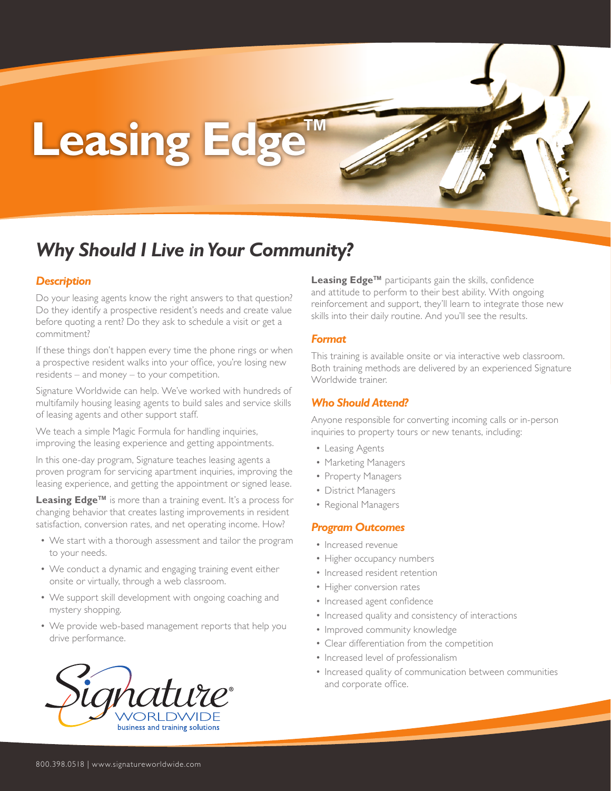# Leasing Edge

### *Why Should I Live in Your Community?*

#### *Description*

Do your leasing agents know the right answers to that question? Do they identify a prospective resident's needs and create value before quoting a rent? Do they ask to schedule a visit or get a commitment?

If these things don't happen every time the phone rings or when a prospective resident walks into your office, you're losing new residents – and money – to your competition.

Signature Worldwide can help. We've worked with hundreds of multifamily housing leasing agents to build sales and service skills of leasing agents and other support staff.

We teach a simple Magic Formula for handling inquiries, improving the leasing experience and getting appointments.

In this one-day program, Signature teaches leasing agents a proven program for servicing apartment inquiries, improving the leasing experience, and getting the appointment or signed lease.

**Leasing Edge™** is more than a training event. It's a process for changing behavior that creates lasting improvements in resident satisfaction, conversion rates, and net operating income. How?

- We start with a thorough assessment and tailor the program to your needs.
- We conduct a dynamic and engaging training event either onsite or virtually, through a web classroom.
- We support skill development with ongoing coaching and mystery shopping.
- We provide web-based management reports that help you drive performance.



**Leasing Edge™** participants gain the skills, confidence and attitude to perform to their best ability. With ongoing reinforcement and support, they'll learn to integrate those new skills into their daily routine. And you'll see the results.

#### *Format*

This training is available onsite or via interactive web classroom. Both training methods are delivered by an experienced Signature Worldwide trainer.

#### *Who Should Attend?*

Anyone responsible for converting incoming calls or in-person inquiries to property tours or new tenants, including:

- Leasing Agents
- Marketing Managers
- Property Managers
- District Managers
- Regional Managers

#### *Program Outcomes*

- Increased revenue
- Higher occupancy numbers
- Increased resident retention
- Higher conversion rates
- Increased agent confidence
- Increased quality and consistency of interactions
- Improved community knowledge
- Clear differentiation from the competition
- Increased level of professionalism
- Increased quality of communication between communities and corporate office.